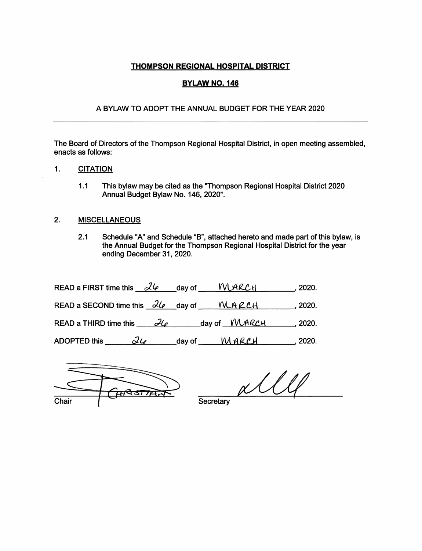## THOMPSON REGIONAL HOSPITAL DISTRICT

#### **BYLAW NO. 146**

#### A BYLAW TO ADOPT THE ANNUAL BUDGET FOR THE YEAR 2020

The Board of Directors of the Thompson Regional Hospital District, in open meeting assembled, enacts as follows:

### 1. **CITATION**

1.1 This bylaw may be cited as the "Thompson Regional Hospital District 2020 Annual Budget Bylaw No. 146, 2020".

### 2. MISCELLANEOUS

2.1 Schedule "A" and Schedule "B", attached hereto and made part of this bylaw, is the Annual Budget for the Thompson Regional Hospital District for the year ending December 31, 2020.

| READ a FIRST time this $26$ day of WARCH | .2020.                                                                                                                                                                                                                                                                                                                |  |
|------------------------------------------|-----------------------------------------------------------------------------------------------------------------------------------------------------------------------------------------------------------------------------------------------------------------------------------------------------------------------|--|
|                                          | READ a SECOND time this $\frac{\partial \ell}{\partial t}$ day of $M \land \ell \in \mathcal{C}$ 1020.                                                                                                                                                                                                                |  |
|                                          | READ a THIRD time this $\partial\varphi$ day of WARCH 7020.                                                                                                                                                                                                                                                           |  |
| 24<br><b>ADOPTED this</b>                | $\frac{1}{2}$ day of $\frac{1}{2}$ $\frac{1}{2}$ $\frac{1}{2}$ $\frac{1}{2}$ $\frac{1}{2}$ $\frac{1}{2}$ $\frac{1}{2}$ $\frac{1}{2}$ $\frac{1}{2}$ $\frac{1}{2}$ $\frac{1}{2}$ $\frac{1}{2}$ $\frac{1}{2}$ $\frac{1}{2}$ $\frac{1}{2}$ $\frac{1}{2}$ $\frac{1}{2}$ $\frac{1}{2}$ $\frac{1}{2}$ $\frac{1}{2}$ $\frac{$ |  |



 $\alpha$ 

**Secretary**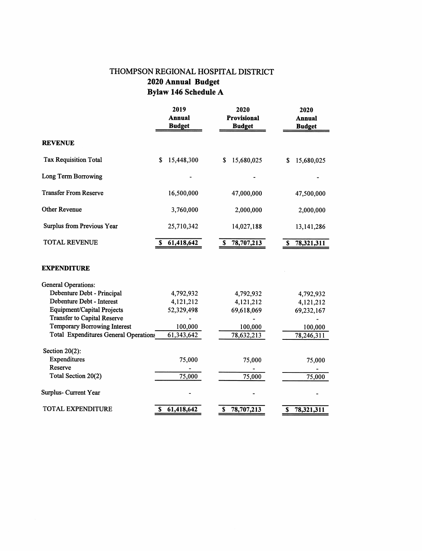# THOMPSON REGIONAL HOSPITAL DISTRICT 2020 Annual Budget Bylaw 146 Schedule A

|                                              | 2019<br><b>Annual</b><br><b>Budget</b> | 2020<br><b>Provisional</b><br><b>Budget</b> | 2020<br><b>Annual</b><br><b>Budget</b> |  |
|----------------------------------------------|----------------------------------------|---------------------------------------------|----------------------------------------|--|
| <b>REVENUE</b>                               |                                        |                                             |                                        |  |
| <b>Tax Requisition Total</b>                 | 15,448,300<br>\$                       | 15,680,025<br>\$                            | 15,680,025<br>\$                       |  |
| Long Term Borrowing                          |                                        |                                             |                                        |  |
| <b>Transfer From Reserve</b>                 | 16,500,000                             | 47,000,000                                  | 47,500,000                             |  |
| <b>Other Revenue</b>                         | 3,760,000                              | 2,000,000                                   | 2,000,000                              |  |
| Surplus from Previous Year                   | 25,710,342                             | 14,027,188                                  | 13, 141, 286                           |  |
| <b>TOTAL REVENUE</b>                         | 61,418,642<br>S                        | 78,707,213<br>S                             | 78,321,311<br>S                        |  |
| <b>EXPENDITURE</b>                           |                                        |                                             |                                        |  |
| <b>General Operations:</b>                   |                                        |                                             |                                        |  |
| Debenture Debt - Principal                   | 4,792,932                              | 4,792,932                                   | 4,792,932                              |  |
| Debenture Debt - Interest                    | 4,121,212                              | 4,121,212                                   | 4,121,212                              |  |
| Equipment/Capital Projects                   | 52,329,498                             | 69,618,069                                  | 69,232,167                             |  |
| <b>Transfer to Capital Reserve</b>           |                                        |                                             |                                        |  |
| <b>Temporary Borrowing Interest</b>          | 100,000                                | 100,000                                     | 100,000                                |  |
| <b>Total Expenditures General Operations</b> | 61,343,642                             | 78,632,213                                  | 78,246,311                             |  |
| Section $20(2)$ :                            |                                        |                                             |                                        |  |
| Expenditures                                 | 75,000                                 | 75,000                                      | 75,000                                 |  |
| Reserve                                      |                                        |                                             |                                        |  |
| Total Section 20(2)                          | 75,000                                 | 75,000                                      | 75,000                                 |  |
| Surplus- Current Year                        |                                        |                                             |                                        |  |
| <b>TOTAL EXPENDITURE</b>                     | 61,418,642<br>S                        | 78,707,213<br>\$                            | 78,321,311<br>\$                       |  |